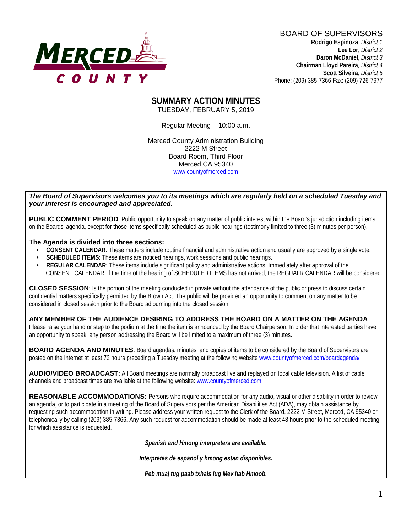

BOARD OF SUPERVISORS **Rodrigo Espinoza**, *District 1*  **Lee Lor**, *District 2*  **Daron McDaniel**, *District 3* **Chairman Lloyd Pareira***, District 4*  **Scott Silveira**, *District 5* Phone: (209) 385-7366 Fax: (209) 726-7977

#### **SUMMARY ACTION MINUTES** TUESDAY, FEBRUARY 5, 2019

Regular Meeting – 10:00 a.m.

Merced County Administration Building 2222 M Street Board Room, Third Floor Merced CA 95340 www.countyofmerced.com

#### *The Board of Supervisors welcomes you to its meetings which are regularly held on a scheduled Tuesday and your interest is encouraged and appreciated.*

**PUBLIC COMMENT PERIOD:** Public opportunity to speak on any matter of public interest within the Board's jurisdiction including items on the Boards' agenda, except for those items specifically scheduled as public hearings (testimony limited to three (3) minutes per person).

#### **The Agenda is divided into three sections:**

- **CONSENT CALENDAR**: These matters include routine financial and administrative action and usually are approved by a single vote.
- **SCHEDULED ITEMS:** These items are noticed hearings, work sessions and public hearings.
- **REGULAR CALENDAR**: These items include significant policy and administrative actions. Immediately after approval of the CONSENT CALENDAR, if the time of the hearing of SCHEDULED ITEMS has not arrived, the REGUALR CALENDAR will be considered.

**CLOSED SESSION**: Is the portion of the meeting conducted in private without the attendance of the public or press to discuss certain confidential matters specifically permitted by the Brown Act. The public will be provided an opportunity to comment on any matter to be considered in closed session prior to the Board adjourning into the closed session.

#### **ANY MEMBER OF THE AUDIENCE DESIRING TO ADDRESS THE BOARD ON A MATTER ON THE AGENDA**:

Please raise your hand or step to the podium at the time the item is announced by the Board Chairperson. In order that interested parties have an opportunity to speak, any person addressing the Board will be limited to a maximum of three (3) minutes.

**BOARD AGENDA AND MINUTES:** Board agendas, minutes, and copies of items to be considered by the Board of Supervisors are posted on the Internet at least 72 hours preceding a Tuesday meeting at the following website [www.countyofmerced.com/boardagenda/](http://www.countyofmerced.com/boardagenda/) 

**AUDIO/VIDEO BROADCAST**: All Board meetings are normally broadcast live and replayed on local cable television. A list of cable channels and broadcast times are available at the following website[: www.countyofmerced.com](http://www.countyofmerced.com/)

**REASONABLE ACCOMMODATIONS:** Persons who require accommodation for any audio, visual or other disability in order to review an agenda, or to participate in a meeting of the Board of Supervisors per the American Disabilities Act (ADA), may obtain assistance by requesting such accommodation in writing. Please address your written request to the Clerk of the Board, 2222 M Street, Merced, CA 95340 or telephonically by calling (209) 385-7366. Any such request for accommodation should be made at least 48 hours prior to the scheduled meeting for which assistance is requested.

*Spanish and Hmong interpreters are available.*

*Interpretes de espanol y hmong estan disponibles.*

*Peb muaj tug paab txhais lug Mev hab Hmoob.*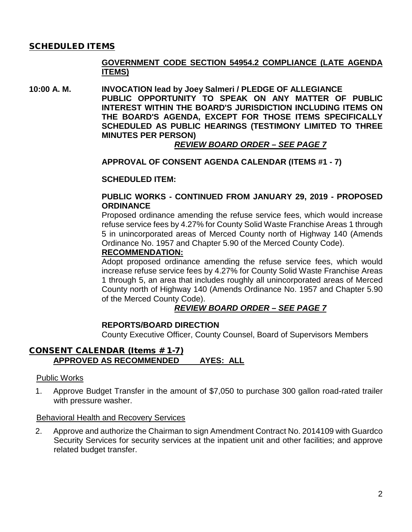## SCHEDULED ITEMS

## **GOVERNMENT CODE SECTION 54954.2 COMPLIANCE (LATE AGENDA ITEMS)**

**10:00 A. M. INVOCATION lead by Joey Salmeri / PLEDGE OF ALLEGIANCE PUBLIC OPPORTUNITY TO SPEAK ON ANY MATTER OF PUBLIC INTEREST WITHIN THE BOARD'S JURISDICTION INCLUDING ITEMS ON THE BOARD'S AGENDA, EXCEPT FOR THOSE ITEMS SPECIFICALLY SCHEDULED AS PUBLIC HEARINGS (TESTIMONY LIMITED TO THREE MINUTES PER PERSON)**

*REVIEW BOARD ORDER – SEE PAGE 7*

#### **APPROVAL OF CONSENT AGENDA CALENDAR (ITEMS #1 - 7)**

#### **SCHEDULED ITEM:**

## **PUBLIC WORKS - CONTINUED FROM JANUARY 29, 2019 - PROPOSED ORDINANCE**

Proposed ordinance amending the refuse service fees, which would increase refuse service fees by 4.27% for County Solid Waste Franchise Areas 1 through 5 in unincorporated areas of Merced County north of Highway 140 (Amends Ordinance No. 1957 and Chapter 5.90 of the Merced County Code).

## **RECOMMENDATION:**

Adopt proposed ordinance amending the refuse service fees, which would increase refuse service fees by 4.27% for County Solid Waste Franchise Areas 1 through 5, an area that includes roughly all unincorporated areas of Merced County north of Highway 140 (Amends Ordinance No. 1957 and Chapter 5.90 of the Merced County Code).

## *REVIEW BOARD ORDER – SEE PAGE 7*

## **REPORTS/BOARD DIRECTION**

County Executive Officer, County Counsel, Board of Supervisors Members

## CONSENT CALENDAR (Items # 1-7) **APPROVED AS RECOMMENDED AYES: ALL**

#### Public Works

1. Approve Budget Transfer in the amount of \$7,050 to purchase 300 gallon road-rated trailer with pressure washer.

#### Behavioral Health and Recovery Services

2. Approve and authorize the Chairman to sign Amendment Contract No. 2014109 with Guardco Security Services for security services at the inpatient unit and other facilities; and approve related budget transfer.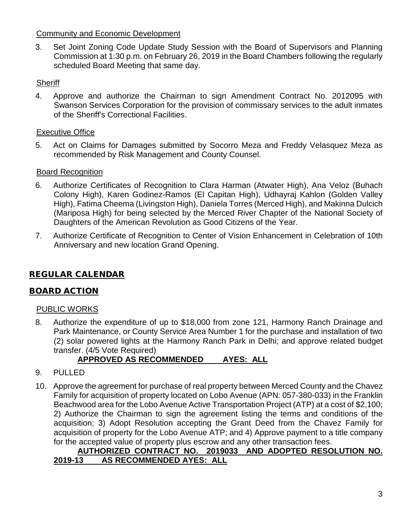## Community and Economic Development

3. Set Joint Zoning Code Update Study Session with the Board of Supervisors and Planning Commission at 1:30 p.m. on February 26, 2019 in the Board Chambers following the regularly scheduled Board Meeting that same day.

## **Sheriff**

4. Approve and authorize the Chairman to sign Amendment Contract No. 2012095 with Swanson Services Corporation for the provision of commissary services to the adult inmates of the Sheriff's Correctional Facilities.

## Executive Office

5. Act on Claims for Damages submitted by Socorro Meza and Freddy Velasquez Meza as recommended by Risk Management and County Counsel.

## Board Recognition

- 6. Authorize Certificates of Recognition to Clara Harman (Atwater High), Ana Veloz (Buhach Colony High), Karen Godinez-Ramos (El Capitan High), Udhayraj Kahlon (Golden Valley High), Fatima Cheema (Livingston High), Daniela Torres (Merced High), and Makinna Dulcich (Mariposa High) for being selected by the Merced River Chapter of the National Society of Daughters of the American Revolution as Good Citizens of the Year.
- 7. Authorize Certificate of Recognition to Center of Vision Enhancement in Celebration of 10th Anniversary and new location Grand Opening.

# REGULAR CALENDAR

# BOARD ACTION

## PUBLIC WORKS

8. Authorize the expenditure of up to \$18,000 from zone 121, Harmony Ranch Drainage and Park Maintenance, or County Service Area Number 1 for the purchase and installation of two (2) solar powered lights at the Harmony Ranch Park in Delhi; and approve related budget transfer. (4/5 Vote Required)

# **APPROVED AS RECOMMENDED AYES: ALL**

- 9. PULLED
- 10. Approve the agreement for purchase of real property between Merced County and the Chavez Family for acquisition of property located on Lobo Avenue (APN: 057-380-033) in the Franklin Beachwood area for the Lobo Avenue Active Transportation Project (ATP) at a cost of \$2,100; 2) Authorize the Chairman to sign the agreement listing the terms and conditions of the acquisition; 3) Adopt Resolution accepting the Grant Deed from the Chavez Family for acquisition of property for the Lobo Avenue ATP; and 4) Approve payment to a title company for the accepted value of property plus escrow and any other transaction fees.

## **AUTHORIZED CONTRACT NO. 2019033 AND ADOPTED RESOLUTION NO. 2019-13 AS RECOMMENDED AYES: ALL**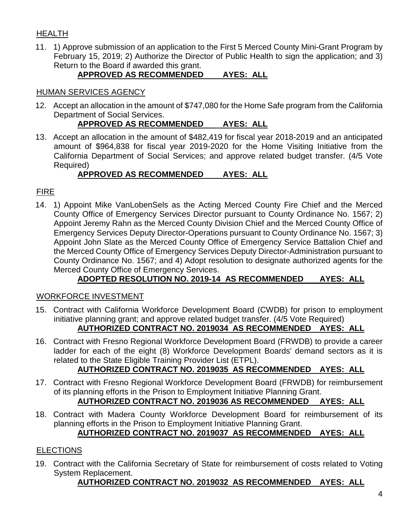# HEALTH

11. 1) Approve submission of an application to the First 5 Merced County Mini-Grant Program by February 15, 2019; 2) Authorize the Director of Public Health to sign the application; and 3) Return to the Board if awarded this grant.

# **APPROVED AS RECOMMENDED AYES: ALL**

## HUMAN SERVICES AGENCY

12. Accept an allocation in the amount of \$747,080 for the Home Safe program from the California Department of Social Services.

# **APPROVED AS RECOMMENDED AYES: ALL**

13. Accept an allocation in the amount of \$482,419 for fiscal year 2018-2019 and an anticipated amount of \$964,838 for fiscal year 2019-2020 for the Home Visiting Initiative from the California Department of Social Services; and approve related budget transfer. (4/5 Vote Required)

# **APPROVED AS RECOMMENDED AYES: ALL**

# FIRE

14. 1) Appoint Mike VanLobenSels as the Acting Merced County Fire Chief and the Merced County Office of Emergency Services Director pursuant to County Ordinance No. 1567; 2) Appoint Jeremy Rahn as the Merced County Division Chief and the Merced County Office of Emergency Services Deputy Director-Operations pursuant to County Ordinance No. 1567; 3) Appoint John Slate as the Merced County Office of Emergency Service Battalion Chief and the Merced County Office of Emergency Services Deputy Director-Administration pursuant to County Ordinance No. 1567; and 4) Adopt resolution to designate authorized agents for the Merced County Office of Emergency Services.

# **ADOPTED RESOLUTION NO. 2019-14 AS RECOMMENDED AYES: ALL**

## WORKFORCE INVESTMENT

- 15. Contract with California Workforce Development Board (CWDB) for prison to employment initiative planning grant; and approve related budget transfer. (4/5 Vote Required) **AUTHORIZED CONTRACT NO. 2019034 AS RECOMMENDED AYES: ALL**
- 16. Contract with Fresno Regional Workforce Development Board (FRWDB) to provide a career ladder for each of the eight (8) Workforce Development Boards' demand sectors as it is related to the State Eligible Training Provider List (ETPL).

# **AUTHORIZED CONTRACT NO. 2019035 AS RECOMMENDED AYES: ALL**

- 17. Contract with Fresno Regional Workforce Development Board (FRWDB) for reimbursement of its planning efforts in the Prison to Employment Initiative Planning Grant. **AUTHORIZED CONTRACT NO. 2019036 AS RECOMMENDED AYES: ALL**
- 18. Contract with Madera County Workforce Development Board for reimbursement of its planning efforts in the Prison to Employment Initiative Planning Grant.

# **AUTHORIZED CONTRACT NO. 2019037 AS RECOMMENDED AYES: ALL**

# **ELECTIONS**

19. Contract with the California Secretary of State for reimbursement of costs related to Voting System Replacement.

# **AUTHORIZED CONTRACT NO. 2019032 AS RECOMMENDED AYES: ALL**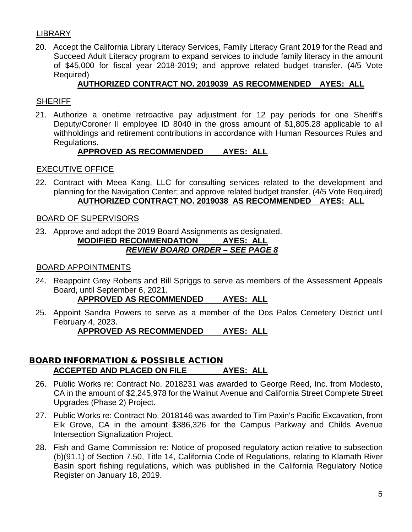## **LIBRARY**

20. Accept the California Library Literacy Services, Family Literacy Grant 2019 for the Read and Succeed Adult Literacy program to expand services to include family literacy in the amount of \$45,000 for fiscal year 2018-2019; and approve related budget transfer. (4/5 Vote Required)

## **AUTHORIZED CONTRACT NO. 2019039 AS RECOMMENDED AYES: ALL**

## **SHERIFF**

21. Authorize a onetime retroactive pay adjustment for 12 pay periods for one Sheriff's Deputy/Coroner II employee ID 8040 in the gross amount of \$1,805.28 applicable to all withholdings and retirement contributions in accordance with Human Resources Rules and Regulations.

## **APPROVED AS RECOMMENDED AYES: ALL**

## EXECUTIVE OFFICE

22. Contract with Meea Kang, LLC for consulting services related to the development and planning for the Navigation Center; and approve related budget transfer. (4/5 Vote Required) **AUTHORIZED CONTRACT NO. 2019038 AS RECOMMENDED AYES: ALL**

## BOARD OF SUPERVISORS

23. Approve and adopt the 2019 Board Assignments as designated.

## **MODIFIED RECOMMENDATION AYES: ALL** *REVIEW BOARD ORDER – SEE PAGE 8*

## BOARD APPOINTMENTS

24. Reappoint Grey Roberts and Bill Spriggs to serve as members of the Assessment Appeals Board, until September 6, 2021.

## **APPROVED AS RECOMMENDED AYES: ALL**

25. Appoint Sandra Powers to serve as a member of the Dos Palos Cemetery District until February 4, 2023.

## **APPROVED AS RECOMMENDED AYES: ALL**

## BOARD INFORMATION & POSSIBLE ACTION **ACCEPTED AND PLACED ON FILE AYES: ALL**

- 26. Public Works re: Contract No. 2018231 was awarded to George Reed, Inc. from Modesto, CA in the amount of \$2,245,978 for the Walnut Avenue and California Street Complete Street Upgrades (Phase 2) Project.
- 27. Public Works re: Contract No. 2018146 was awarded to Tim Paxin's Pacific Excavation, from Elk Grove, CA in the amount \$386,326 for the Campus Parkway and Childs Avenue Intersection Signalization Project.
- 28. Fish and Game Commission re: Notice of proposed regulatory action relative to subsection (b)(91.1) of Section 7.50, Title 14, California Code of Regulations, relating to Klamath River Basin sport fishing regulations, which was published in the California Regulatory Notice Register on January 18, 2019.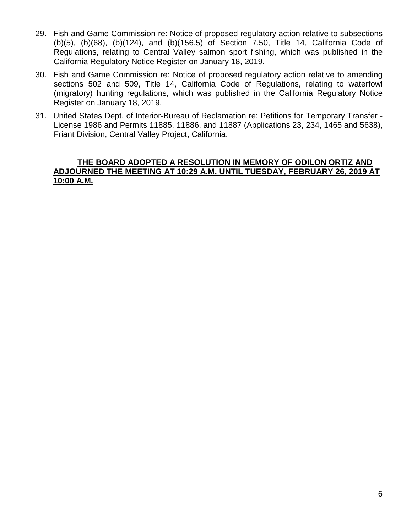- 29. Fish and Game Commission re: Notice of proposed regulatory action relative to subsections (b)(5), (b)(68), (b)(124), and (b)(156.5) of Section 7.50, Title 14, California Code of Regulations, relating to Central Valley salmon sport fishing, which was published in the California Regulatory Notice Register on January 18, 2019.
- 30. Fish and Game Commission re: Notice of proposed regulatory action relative to amending sections 502 and 509, Title 14, California Code of Regulations, relating to waterfowl (migratory) hunting regulations, which was published in the California Regulatory Notice Register on January 18, 2019.
- 31. United States Dept. of Interior-Bureau of Reclamation re: Petitions for Temporary Transfer License 1986 and Permits 11885, 11886, and 11887 (Applications 23, 234, 1465 and 5638), Friant Division, Central Valley Project, California.

## **THE BOARD ADOPTED A RESOLUTION IN MEMORY OF ODILON ORTIZ AND ADJOURNED THE MEETING AT 10:29 A.M. UNTIL TUESDAY, FEBRUARY 26, 2019 AT 10:00 A.M.**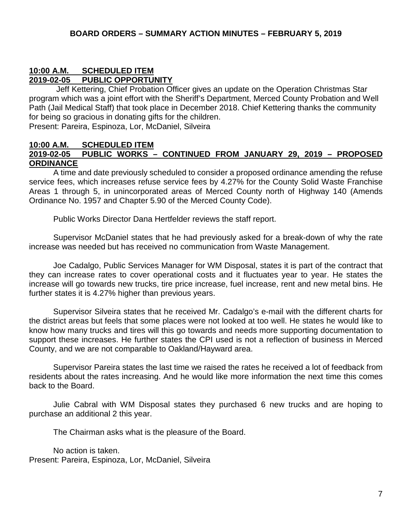## **10:00 A.M. SCHEDULED ITEM 2019-02-05 PUBLIC OPPORTUNITY**

Jeff Kettering, Chief Probation Officer gives an update on the Operation Christmas Star program which was a joint effort with the Sheriff's Department, Merced County Probation and Well Path (Jail Medical Staff) that took place in December 2018. Chief Kettering thanks the community for being so gracious in donating gifts for the children.

Present: Pareira, Espinoza, Lor, McDaniel, Silveira

#### **10:00 A.M. SCHEDULED ITEM 2019-02-05 PUBLIC WORKS – CONTINUED FROM JANUARY 29, 2019 – PROPOSED ORDINANCE**

A time and date previously scheduled to consider a proposed ordinance amending the refuse service fees, which increases refuse service fees by 4.27% for the County Solid Waste Franchise Areas 1 through 5, in unincorporated areas of Merced County north of Highway 140 (Amends Ordinance No. 1957 and Chapter 5.90 of the Merced County Code).

Public Works Director Dana Hertfelder reviews the staff report.

Supervisor McDaniel states that he had previously asked for a break-down of why the rate increase was needed but has received no communication from Waste Management.

Joe Cadalgo, Public Services Manager for WM Disposal, states it is part of the contract that they can increase rates to cover operational costs and it fluctuates year to year. He states the increase will go towards new trucks, tire price increase, fuel increase, rent and new metal bins. He further states it is 4.27% higher than previous years.

Supervisor Silveira states that he received Mr. Cadalgo's e-mail with the different charts for the district areas but feels that some places were not looked at too well. He states he would like to know how many trucks and tires will this go towards and needs more supporting documentation to support these increases. He further states the CPI used is not a reflection of business in Merced County, and we are not comparable to Oakland/Hayward area.

Supervisor Pareira states the last time we raised the rates he received a lot of feedback from residents about the rates increasing. And he would like more information the next time this comes back to the Board.

Julie Cabral with WM Disposal states they purchased 6 new trucks and are hoping to purchase an additional 2 this year.

The Chairman asks what is the pleasure of the Board.

No action is taken. Present: Pareira, Espinoza, Lor, McDaniel, Silveira